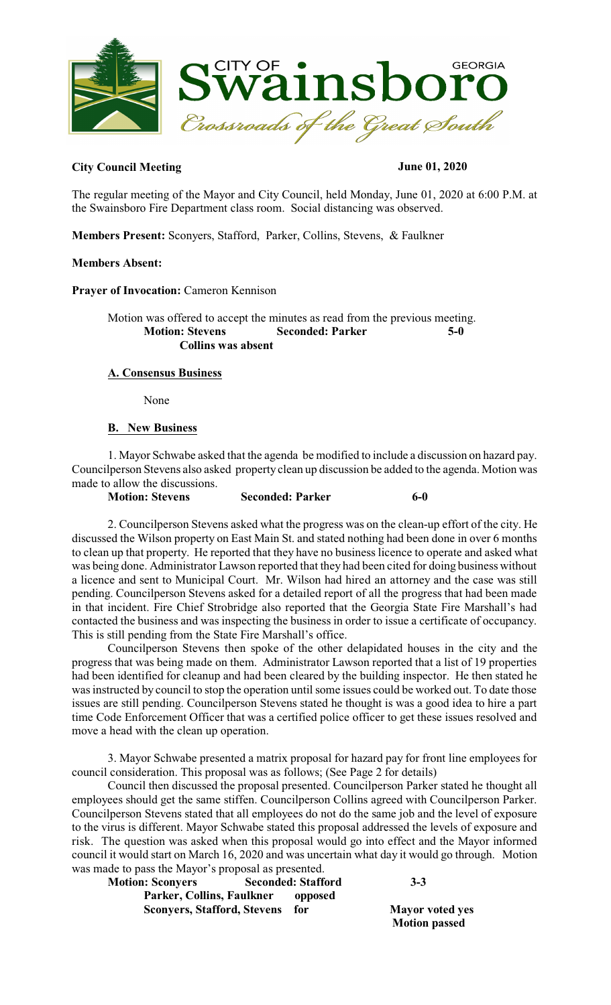

## **City Council Meeting June 01, 2020**

The regular meeting of the Mayor and City Council, held Monday, June 01, 2020 at 6:00 P.M. at the Swainsboro Fire Department class room. Social distancing was observed.

**Members Present:** Sconyers, Stafford, Parker, Collins, Stevens, & Faulkner

#### **Members Absent:**

**Prayer of Invocation:** Cameron Kennison

Motion was offered to accept the minutes as read from the previous meeting. **Motion: Stevens Seconded: Parker Collins was absent**

#### **A. Consensus Business**

None

#### **B. New Business**

1. Mayor Schwabe asked that the agenda be modified to include a discussion on hazard pay. Councilperson Stevens also asked property clean up discussion be added to the agenda. Motion was made to allow the discussions.

**Motion: Stevens Seconded: Parker 6-0** 

2. Councilperson Stevens asked what the progress was on the clean-up effort of the city. He discussed the Wilson property on East Main St. and stated nothing had been done in over 6 months to clean up that property. He reported that they have no businesslicence to operate and asked what was being done. Administrator Lawson reported that they had been cited for doing business without a licence and sent to Municipal Court. Mr. Wilson had hired an attorney and the case was still pending. Councilperson Stevens asked for a detailed report of all the progress that had been made in that incident. Fire Chief Strobridge also reported that the Georgia State Fire Marshall's had contacted the business and was inspecting the business in order to issue a certificate of occupancy. This is still pending from the State Fire Marshall's office.

Councilperson Stevens then spoke of the other delapidated houses in the city and the progress that was being made on them. Administrator Lawson reported that a list of 19 properties had been identified for cleanup and had been cleared by the building inspector. He then stated he was instructed by council to stop the operation until some issues could be worked out. To date those issues are still pending. Councilperson Stevens stated he thought is was a good idea to hire a part time Code Enforcement Officer that was a certified police officer to get these issues resolved and move a head with the clean up operation.

3. Mayor Schwabe presented a matrix proposal for hazard pay for front line employees for council consideration. This proposal was as follows; (See Page 2 for details)

Council then discussed the proposal presented. Councilperson Parker stated he thought all employees should get the same stiffen. Councilperson Collins agreed with Councilperson Parker. Councilperson Stevens stated that all employees do not do the same job and the level of exposure to the virus is different. Mayor Schwabe stated this proposal addressed the levels of exposure and risk. The question was asked when this proposal would go into effect and the Mayor informed council it would start on March 16, 2020 and was uncertain what day it would go through. Motion was made to pass the Mayor's proposal as presented.

| <b>Motion: Sconyers</b>            | <b>Seconded: Stafford</b> | $3 - 3$      |
|------------------------------------|---------------------------|--------------|
| Parker, Collins, Faulkner          | opposed                   |              |
| <b>Sconyers, Stafford, Stevens</b> | for                       | <b>Mayor</b> |

**Mayor voted yes Motion passed**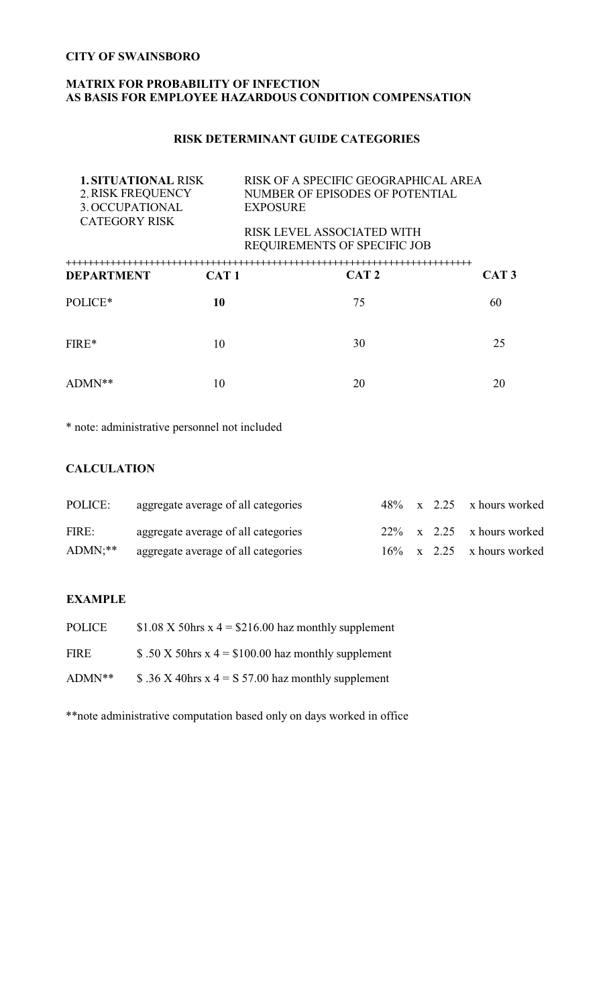## **MATRIX FOR PROBABILITY OF INFECTION AS BASIS FOR EMPLOYEE HAZARDOUS CONDITION COMPENSATION**

## **RISK DETERMINANT GUIDE CATEGORIES**

| <b>1. SITUATIONAL RISK</b><br><b>2. RISK FREQUENCY</b><br>3. OCCUPATIONAL<br><b>CATEGORY RISK</b> |                  | RISK OF A SPECIFIC GEOGRAPHICAL AREA<br>NUMBER OF EPISODES OF POTENTIAL<br><b>EXPOSURE</b><br>RISK LEVEL ASSOCIATED WITH<br>REQUIREMENTS OF SPECIFIC JOB |                  |  |
|---------------------------------------------------------------------------------------------------|------------------|----------------------------------------------------------------------------------------------------------------------------------------------------------|------------------|--|
| <b>DEPARTMENT</b>                                                                                 | CAT <sub>1</sub> | CAT <sub>2</sub>                                                                                                                                         | CAT <sub>3</sub> |  |
| POLICE*                                                                                           | 10               | 75                                                                                                                                                       | 60               |  |
| FIRE*                                                                                             | 10               | 30                                                                                                                                                       | 25               |  |
| ADMN**                                                                                            | 10               | 20                                                                                                                                                       | 20               |  |

\* note: administrative personnel not included

## **CALCULATION**

| POLICE:     | aggregate average of all categories |  | $48\%$ x 2.25 x hours worked |
|-------------|-------------------------------------|--|------------------------------|
| FIRE:       | aggregate average of all categories |  | $22\%$ x 2.25 x hours worked |
| $ADMN$ : ** | aggregate average of all categories |  | $16\%$ x 2.25 x hours worked |

#### **EXAMPLE**

| <b>POLICE</b> | \$1.08 X 50hrs x $4 = $216.00$ haz monthly supplement        |
|---------------|--------------------------------------------------------------|
| <b>FIRE</b>   | \$.50 X 50 hrs x $4 = $100.00$ haz monthly supplement        |
| ADMN**        | \$ .36 X 40hrs x 4 = $\text{S}$ 57.00 haz monthly supplement |

\*\*note administrative computation based only on days worked in office